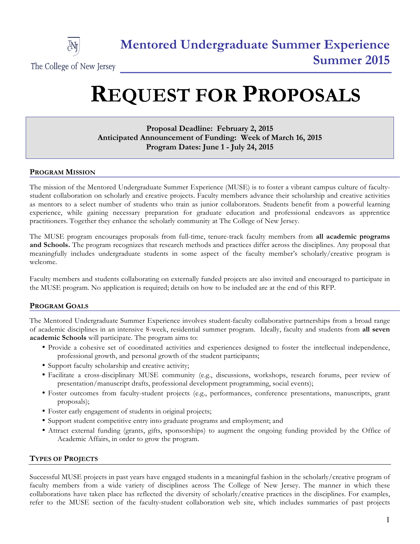

# **REQUEST FOR PROPOSALS**

## **Proposal Deadline: February 2, 2015 Anticipated Announcement of Funding: Week of March 16, 2015 Program Dates: June 1 - July 24, 2015**

## **PROGRAM MISSION**

The mission of the Mentored Undergraduate Summer Experience (MUSE) is to foster a vibrant campus culture of facultystudent collaboration on scholarly and creative projects. Faculty members advance their scholarship and creative activities as mentors to a select number of students who train as junior collaborators. Students benefit from a powerful learning experience, while gaining necessary preparation for graduate education and professional endeavors as apprentice practitioners. Together they enhance the scholarly community at The College of New Jersey.

The MUSE program encourages proposals from full-time, tenure-track faculty members from **all academic programs and Schools.** The program recognizes that research methods and practices differ across the disciplines. Any proposal that meaningfully includes undergraduate students in some aspect of the faculty member's scholarly/creative program is welcome.

Faculty members and students collaborating on externally funded projects are also invited and encouraged to participate in the MUSE program. No application is required; details on how to be included are at the end of this RFP.

## **PROGRAM GOALS**

The Mentored Undergraduate Summer Experience involves student-faculty collaborative partnerships from a broad range of academic disciplines in an intensive 8-week, residential summer program. Ideally, faculty and students from **all seven academic Schools** will participate. The program aims to:

- Provide a cohesive set of coordinated activities and experiences designed to foster the intellectual independence, professional growth, and personal growth of the student participants;
- Support faculty scholarship and creative activity;
- Facilitate a cross-disciplinary MUSE community (e.g., discussions, workshops, research forums, peer review of presentation/manuscript drafts, professional development programming, social events);
- Foster outcomes from faculty-student projects (e.g., performances, conference presentations, manuscripts, grant proposals);
- Foster early engagement of students in original projects;
- Support student competitive entry into graduate programs and employment; and
- Attract external funding (grants, gifts, sponsorships) to augment the ongoing funding provided by the Office of Academic Affairs, in order to grow the program.

### **TYPES OF PROJECTS**

Successful MUSE projects in past years have engaged students in a meaningful fashion in the scholarly/creative program of faculty members from a wide variety of disciplines across The College of New Jersey. The manner in which these collaborations have taken place has reflected the diversity of scholarly/creative practices in the disciplines. For examples, refer to the MUSE section of the faculty-student collaboration web site, which includes summaries of past projects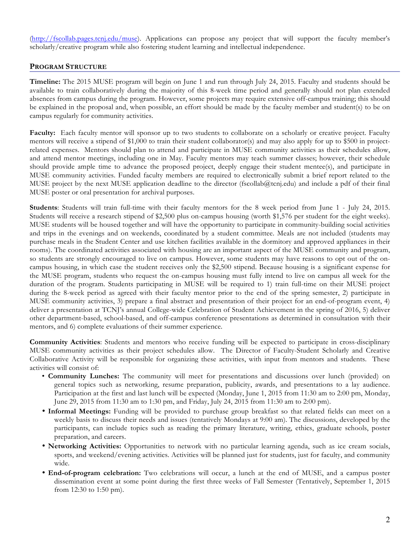(http://fscollab.pages.tcnj.edu/muse). Applications can propose any project that will support the faculty member's scholarly/creative program while also fostering student learning and intellectual independence.

## **PROGRAM STRUCTURE**

**Timeline:** The 2015 MUSE program will begin on June 1 and run through July 24, 2015. Faculty and students should be available to train collaboratively during the majority of this 8-week time period and generally should not plan extended absences from campus during the program. However, some projects may require extensive off-campus training; this should be explained in the proposal and, when possible, an effort should be made by the faculty member and student(s) to be on campus regularly for community activities.

**Faculty:** Each faculty mentor will sponsor up to two students to collaborate on a scholarly or creative project. Faculty mentors will receive a stipend of \$1,000 to train their student collaborator(s) and may also apply for up to \$500 in projectrelated expenses. Mentors should plan to attend and participate in MUSE community activities as their schedules allow, and attend mentor meetings, including one in May. Faculty mentors may teach summer classes; however, their schedule should provide ample time to advance the proposed project, deeply engage their student mentee(s), and participate in MUSE community activities. Funded faculty members are required to electronically submit a brief report related to the MUSE project by the next MUSE application deadline to the director (fscollab@tcnj.edu) and include a pdf of their final MUSE poster or oral presentation for archival purposes.

**Students**: Students will train full-time with their faculty mentors for the 8 week period from June 1 - July 24, 2015. Students will receive a research stipend of \$2,500 plus on-campus housing (worth \$1,576 per student for the eight weeks). MUSE students will be housed together and will have the opportunity to participate in community-building social activities and trips in the evenings and on weekends, coordinated by a student committee. Meals are not included (students may purchase meals in the Student Center and use kitchen facilities available in the dormitory and approved appliances in their rooms). The coordinated activities associated with housing are an important aspect of the MUSE community and program, so students are strongly encouraged to live on campus. However, some students may have reasons to opt out of the oncampus housing, in which case the student receives only the \$2,500 stipend. Because housing is a significant expense for the MUSE program, students who request the on-campus housing must fully intend to live on campus all week for the duration of the program. Students participating in MUSE will be required to 1) train full-time on their MUSE project during the 8-week period as agreed with their faculty mentor prior to the end of the spring semester, 2) participate in MUSE community activities, 3) prepare a final abstract and presentation of their project for an end-of-program event, 4) deliver a presentation at TCNJ's annual College-wide Celebration of Student Achievement in the spring of 2016, 5) deliver other department-based, school-based, and off-campus conference presentations as determined in consultation with their mentors, and 6) complete evaluations of their summer experience.

**Community Activities**: Students and mentors who receive funding will be expected to participate in cross-disciplinary MUSE community activities as their project schedules allow. The Director of Faculty-Student Scholarly and Creative Collaborative Activity will be responsible for organizing these activities, with input from mentors and students. These activities will consist of:

- **Community Lunches:** The community will meet for presentations and discussions over lunch (provided) on general topics such as networking, resume preparation, publicity, awards, and presentations to a lay audience. Participation at the first and last lunch will be expected (Monday, June 1, 2015 from 11:30 am to 2:00 pm, Monday, June 29, 2015 from 11:30 am to 1:30 pm, and Friday, July 24, 2015 from 11:30 am to 2:00 pm).
- **Informal Meetings:** Funding will be provided to purchase group breakfast so that related fields can meet on a weekly basis to discuss their needs and issues (tentatively Mondays at 9:00 am). The discussions, developed by the participants, can include topics such as reading the primary literature, writing, ethics, graduate schools, poster preparation, and careers.
- **Networking Activities:** Opportunities to network with no particular learning agenda, such as ice cream socials, sports, and weekend/evening activities. Activities will be planned just for students, just for faculty, and community wide.
- **End-of-program celebration:** Two celebrations will occur, a lunch at the end of MUSE, and a campus poster dissemination event at some point during the first three weeks of Fall Semester (Tentatively, September 1, 2015 from 12:30 to 1:50 pm).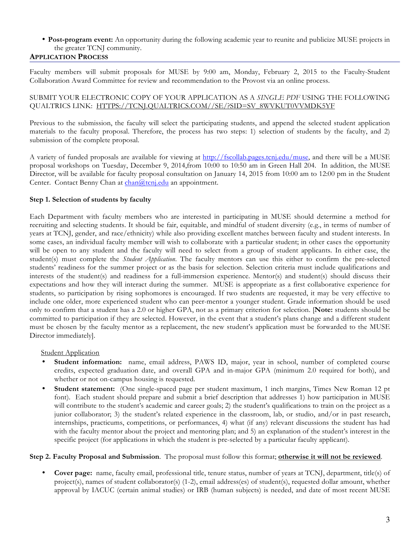## • **Post-program event:** An opportunity during the following academic year to reunite and publicize MUSE projects in the greater TCNJ community.

## **APPLICATION PROCESS**

Faculty members will submit proposals for MUSE by 9:00 am, Monday, February 2, 2015 to the Faculty-Student Collaboration Award Committee for review and recommendation to the Provost via an online process.

#### SUBMIT YOUR ELECTRONIC COPY OF YOUR APPLICATION AS A *SINGLE PDF* USING THE FOLLOWING QUALTRICS LINK: HTTPS://TCNJ.QUALTRICS.COM//SE/?SID=SV\_8WVKUT0VVMDK5YF

Previous to the submission, the faculty will select the participating students, and append the selected student application materials to the faculty proposal. Therefore, the process has two steps: 1) selection of students by the faculty, and 2) submission of the complete proposal.

A variety of funded proposals are available for viewing at http://fscollab.pages.tcnj.edu/muse, and there will be a MUSE proposal workshops on Tuesday, December 9, 2014,from 10:00 to 10:50 am in Green Hall 204. In addition, the MUSE Director, will be available for faculty proposal consultation on January 14, 2015 from 10:00 am to 12:00 pm in the Student Center. Contact Benny Chan at chan@tcnj.edu an appointment.

### **Step 1. Selection of students by faculty**

Each Department with faculty members who are interested in participating in MUSE should determine a method for recruiting and selecting students. It should be fair, equitable, and mindful of student diversity (e.g., in terms of number of years at TCNJ, gender, and race/ethnicity) while also providing excellent matches between faculty and student interests. In some cases, an individual faculty member will wish to collaborate with a particular student; in other cases the opportunity will be open to any student and the faculty will need to select from a group of student applicants. In either case, the student(s) must complete the *Student Application*. The faculty mentors can use this either to confirm the pre-selected students' readiness for the summer project or as the basis for selection. Selection criteria must include qualifications and interests of the student(s) and readiness for a full-immersion experience. Mentor(s) and student(s) should discuss their expectations and how they will interact during the summer. MUSE is appropriate as a first collaborative experience for students, so participation by rising sophomores is encouraged. If two students are requested, it may be very effective to include one older, more experienced student who can peer-mentor a younger student. Grade information should be used only to confirm that a student has a 2.0 or higher GPA, not as a primary criterion for selection. [**Note:** students should be committed to participation if they are selected. However, in the event that a student's plans change and a different student must be chosen by the faculty mentor as a replacement, the new student's application must be forwarded to the MUSE Director immediately].

#### **Student Application**

- **Student information:** name, email address, PAWS ID, major, year in school, number of completed course credits, expected graduation date, and overall GPA and in-major GPA (minimum 2.0 required for both), and whether or not on-campus housing is requested.
- **Student statement:** (One single-spaced page per student maximum, 1 inch margins, Times New Roman 12 pt font).Each student should prepare and submit a brief description that addresses 1) how participation in MUSE will contribute to the student's academic and career goals; 2) the student's qualifications to train on the project as a junior collaborator; 3) the student's related experience in the classroom, lab, or studio, and/or in past research, internships, practicums, competitions, or performances, 4) what (if any) relevant discussions the student has had with the faculty mentor about the project and mentoring plan; and 5) an explanation of the student's interest in the specific project (for applications in which the student is pre-selected by a particular faculty applicant).

#### **Step 2. Faculty Proposal and Submission**. The proposal must follow this format; **otherwise it will not be reviewed**.

• **Cover page:** name, faculty email, professional title, tenure status, number of years at TCNJ, department, title(s) of project(s), names of student collaborator(s) (1-2), email address(es) of student(s), requested dollar amount, whether approval by IACUC (certain animal studies) or IRB (human subjects) is needed, and date of most recent MUSE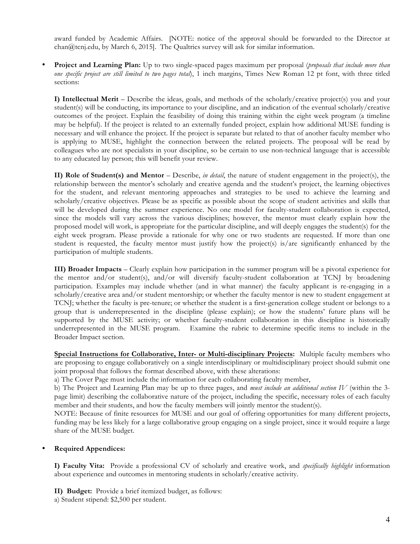award funded by Academic Affairs. [NOTE: notice of the approval should be forwarded to the Director at chan@tcnj.edu, by March 6, 2015]. The Qualtrics survey will ask for similar information.

• **Project and Learning Plan:** Up to two single-spaced pages maximum per proposal (*proposals that include more than one specific project are still limited to two pages total*), 1 inch margins, Times New Roman 12 pt font, with three titled sections:

**I) Intellectual Merit** – Describe the ideas, goals, and methods of the scholarly/creative project(s) you and your student(s) will be conducting, its importance to your discipline, and an indication of the eventual scholarly/creative outcomes of the project. Explain the feasibility of doing this training within the eight week program (a timeline may be helpful). If the project is related to an externally funded project, explain how additional MUSE funding is necessary and will enhance the project. If the project is separate but related to that of another faculty member who is applying to MUSE, highlight the connection between the related projects. The proposal will be read by colleagues who are not specialists in your discipline, so be certain to use non-technical language that is accessible to any educated lay person; this will benefit your review.

**II) Role of Student(s) and Mentor** – Describe, *in detail*, the nature of student engagement in the project(s), the relationship between the mentor's scholarly and creative agenda and the student's project, the learning objectives for the student, and relevant mentoring approaches and strategies to be used to achieve the learning and scholarly/creative objectives. Please be as specific as possible about the scope of student activities and skills that will be developed during the summer experience. No one model for faculty-student collaboration is expected, since the models will vary across the various disciplines; however, the mentor must clearly explain how the proposed model will work, is appropriate for the particular discipline, and will deeply engages the student(s) for the eight week program. Please provide a rationale for why one or two students are requested. If more than one student is requested, the faculty mentor must justify how the project(s) is/are significantly enhanced by the participation of multiple students.

**III) Broader Impacts** – Clearly explain how participation in the summer program will be a pivotal experience for the mentor and/or student(s), and/or will diversify faculty-student collaboration at TCNJ by broadening participation. Examples may include whether (and in what manner) the faculty applicant is re-engaging in a scholarly/creative area and/or student mentorship; or whether the faculty mentor is new to student engagement at TCNJ; whether the faculty is pre-tenure; or whether the student is a first-generation college student or belongs to a group that is underrepresented in the discipline (please explain); or how the students' future plans will be supported by the MUSE activity; or whether faculty-student collaboration in this discipline is historically underrepresented in the MUSE program. Examine the rubric to determine specific items to include in the Broader Impact section.

**Special Instructions for Collaborative, Inter- or Multi-disciplinary Projects:** Multiple faculty members who are proposing to engage collaboratively on a single interdisciplinary or multidisciplinary project should submit one joint proposal that follows the format described above, with these alterations:

a) The Cover Page must include the information for each collaborating faculty member,

b) The Project and Learning Plan may be up to three pages, and *must include an additional section IV* (within the 3 page limit) describing the collaborative nature of the project, including the specific, necessary roles of each faculty member and their students, and how the faculty members will jointly mentor the student(s).

NOTE: Because of finite resources for MUSE and our goal of offering opportunities for many different projects, funding may be less likely for a large collaborative group engaging on a single project, since it would require a large share of the MUSE budget.

#### • **Required Appendices:**

**I) Faculty Vita:** Provide a professional CV of scholarly and creative work, and *specifically highlight* information about experience and outcomes in mentoring students in scholarly/creative activity.

**II) Budget:** Provide a brief itemized budget, as follows:

a) Student stipend: \$2,500 per student.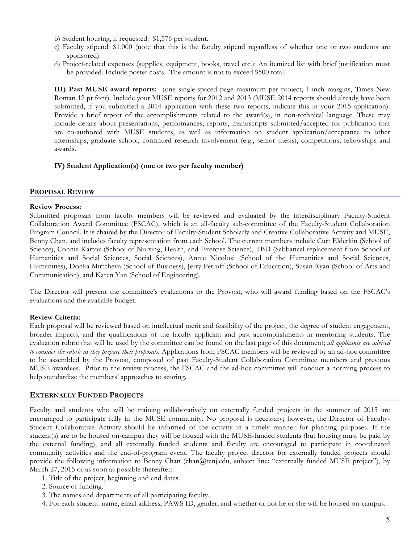- b) Student housing, if requested: \$1,576 per student.
- c) Faculty stipend: \$1,000 (note that this is the faculty stipend regardless of whether one or two students are sponsored).
- d) Project-related expenses (supplies, equipment, books, travel etc.): An itemized list with brief justification must be provided. Include poster costs. The amount is not to exceed \$500 total.

**III) Past MUSE award reports:** (one single-spaced page maximum per project, 1-inch margins, Times New Roman 12 pt font). Include your MUSE reports for 2012 and 2013 (MUSE 2014 reports should already have been submitted, if you submitted a 2014 application with these two reports, indicate this in your 2015 application). Provide a brief report of the accomplishments related to the award(s), in non-technical language. These may include details about presentations, performances, reports, manuscripts submitted/accepted for publication that are co-authored with MUSE students, as well as information on student application/acceptance to other internships, graduate school, continued research involvement (e.g., senior thesis), competitions, fellowships and awards.

#### **IV) Student Application(s) (one or two per faculty member)**

#### **PROPOSAL REVIEW**

#### **Review Process:**

Submitted proposals from faculty members will be reviewed and evaluated by the interdisciplinary Faculty-Student Collaboration Award Committee (FSCAC), which is an all-faculty sub-committee of the Faculty-Student Collaboration Program Council. It is chaired by the Director of Faculty-Student Scholarly and Creative Collaborative Activity and MUSE, Benny Chan, and includes faculty representation from each School. The current members include Curt Elderkin (School of Science), Connie Kartoz (School of Nursing, Health, and Exercise Science), TBD (Sabbatical replacement from School of Humanities and Social Sciences, Social Sciences), Annie Nicolosi (School of the Humanities and Social Sciences, Humanities), Donka Mirtcheva (School of Business), Jerry Petroff (School of Education), Susan Ryan (School of Arts and Communication), and Karen Yan (School of Engineering).

The Director will present the committee's evaluations to the Provost, who will award funding based on the FSCAC's evaluations and the available budget.

### **Review Criteria:**

Each proposal will be reviewed based on intellectual merit and feasibility of the project, the degree of student engagement, broader impacts, and the qualifications of the faculty applicant and past accomplishments in mentoring students. The evaluation rubric that will be used by the committee can be found on the last page of this document; *all applicants are advised to consider the rubric as they prepare their proposals.* Applications from FSCAC members will be reviewed by an ad-hoc committee to be assembled by the Provost, composed of past Faculty-Student Collaboration Committee members and previous MUSE awardees. Prior to the review process, the FSCAC and the ad-hoc committee will conduct a norming process to help standardize the members' approaches to scoring.

### **EXTERNALLY FUNDED PROJECTS**

Faculty and students who will be training collaboratively on externally funded projects in the summer of 2015 are encouraged to participate fully in the MUSE community. No proposal is necessary; however, the Director of Faculty-Student Collaborative Activity should be informed of the activity in a timely manner for planning purposes. If the student(s) are to be housed on-campus they will be housed with the MUSE-funded students (but housing must be paid by the external funding), and all externally funded students and faculty are encouraged to participate in coordinated community activities and the end-of-program event. The faculty project director for externally funded projects should provide the following information to Benny Chan (chan@tcnj.edu, subject line: "externally funded MUSE project"), by March 27, 2015 or as soon as possible thereafter:

- 1. Title of the project, beginning and end dates.
- 2. Source of funding.
- 3. The names and departments of all participating faculty.
- 4. For each student: name, email address, PAWS ID, gender, and whether or not he or she will be housed on-campus.